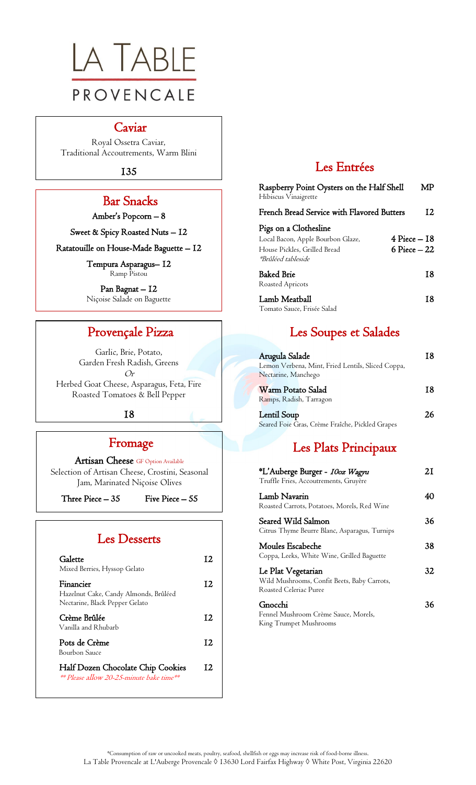

#### Caviar

Royal Ossetra Caviar, Traditional Accoutrements, Warm Blini

135

## Bar Snacks

Amber's Popcorn – 8

Sweet & Spicy Roasted Nuts – 12

Ratatouille on House-Made Baguette – 12

Tempura Asparagus– 12 Ramp Pistou

Pan Bagnat – 12 Niçoise Salade on Baguette

 $\overline{a}$ 

### Provençale Pizza

Garlic, Brie, Potato, Garden Fresh Radish, Greens  $O_r$ 

Herbed Goat Cheese, Asparagus, Feta, Fire Roasted Tomatoes & Bell Pepper

#### 18

### Fromage

Artisan Cheese GF Option Available Selection of Artisan Cheese, Crostini, Seasonal Jam, Marinated Niçoise Olives

Three Piece  $-35$  Five Piece  $-55$ 

# Les Desserts

| Galette<br>Mixed Berries, Hyssop Gelato                                                          | 12 |
|--------------------------------------------------------------------------------------------------|----|
| Financier<br>Hazelnut Cake, Candy Almonds, Brûléed<br>Nectarine, Black Pepper Gelato             | 12 |
| Crème Brûlée<br>Vanilla and Rhubarb                                                              | 12 |
| Pots de Crème<br>Bourbon Sauce                                                                   | 12 |
| Half Dozen Chocolate Chip Cookies<br><i>**</i> Please allow 20-25-minute bake time <sup>**</sup> | 12 |

## Les Entrées

| Raspberry Point Oysters on the Half Shell<br>Hibiscus Vinaigrette                                                       | MP                                 |
|-------------------------------------------------------------------------------------------------------------------------|------------------------------------|
| French Bread Service with Flavored Butters                                                                              | 12                                 |
| Pigs on a Clothesline<br>Local Bacon, Apple Bourbon Glaze,<br>House Pickles, Grilled Bread<br><i>*Brûléed tableside</i> | $4$ Piece $-18$<br>$6$ Piece $-22$ |
| Baked Brie<br>Roasted Apricots                                                                                          | 18                                 |
| Lamb Meatball<br>Tomato Sauce, Frisée Salad                                                                             | 18                                 |

# Les Soupes et Salades

| Arugula Salade                                    | 18 |
|---------------------------------------------------|----|
| Lemon Verbena, Mint, Fried Lentils, Sliced Coppa, |    |
| Nectarine, Manchego                               |    |
| Warm Potato Salad                                 | 18 |
| Ramps, Radish, Tarragon                           |    |
| <b>Lentil Soup</b>                                |    |

Seared Foie Gras, Crème Fraîche, Pickled Grapes

# Les Plats Principaux

| *L'Auberge Burger - <i>10oz Wagyu</i><br>Truffle Fries, Accoutrements, Gruyère              | 21 |
|---------------------------------------------------------------------------------------------|----|
| Lamb Navarin<br>Roasted Carrots, Potatoes, Morels, Red Wine                                 | 40 |
| Seared Wild Salmon<br>Citrus Thyme Beurre Blanc, Asparagus, Turnips                         | 36 |
| Moules Escabeche<br>Coppa, Leeks, White Wine, Grilled Baguette                              | 38 |
| Le Plat Vegetarian<br>Wild Mushrooms, Confit Beets, Baby Carrots,<br>Roasted Celeriac Puree | 32 |
| Gnocchi<br>Fennel Mushroom Crème Sauce, Morels,<br>King Trumpet Mushrooms                   | 36 |